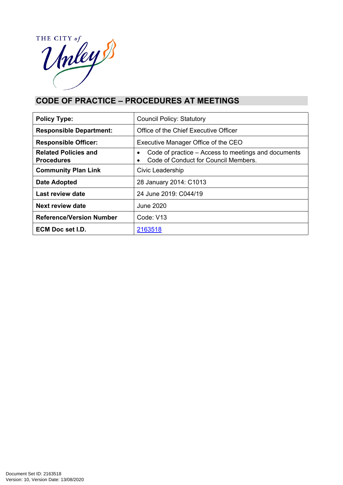THE CITY of

# **CODE OF PRACTICE – PROCEDURES AT MEETINGS**

| <b>Policy Type:</b>                              | <b>Council Policy: Statutory</b>                                                            |
|--------------------------------------------------|---------------------------------------------------------------------------------------------|
| <b>Responsible Department:</b>                   | Office of the Chief Executive Officer                                                       |
| <b>Responsible Officer:</b>                      | Executive Manager Office of the CEO                                                         |
| <b>Related Policies and</b><br><b>Procedures</b> | Code of practice – Access to meetings and documents<br>Code of Conduct for Council Members. |
| <b>Community Plan Link</b>                       | Civic Leadership                                                                            |
| Date Adopted                                     | 28 January 2014: C1013                                                                      |
| Last review date                                 | 24 June 2019: C044/19                                                                       |
| Next review date                                 | June 2020                                                                                   |
| <b>Reference/Version Number</b>                  | Code: V13                                                                                   |
| ECM Doc set I.D.                                 | 2163518                                                                                     |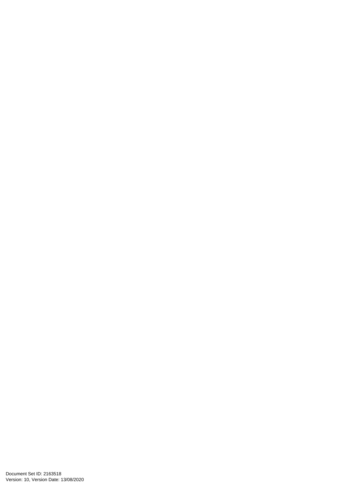Document Set ID: 2163518<br>Version: 10, Version Date: 13/08/2020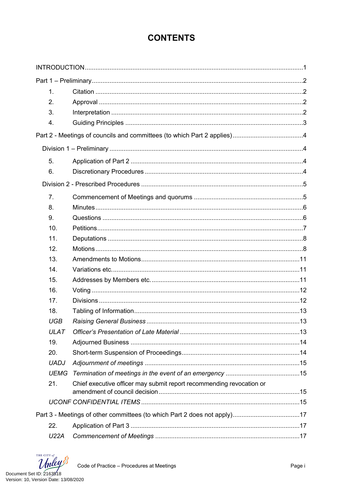# **CONTENTS**

| 1.          |                                                                      |  |
|-------------|----------------------------------------------------------------------|--|
| 2.          |                                                                      |  |
| 3.          |                                                                      |  |
| 4.          |                                                                      |  |
|             |                                                                      |  |
|             |                                                                      |  |
| 5.          |                                                                      |  |
| 6.          |                                                                      |  |
|             |                                                                      |  |
| 7.          |                                                                      |  |
| 8.          |                                                                      |  |
| 9.          |                                                                      |  |
| 10.         |                                                                      |  |
| 11.         |                                                                      |  |
| 12.         |                                                                      |  |
| 13.         |                                                                      |  |
| 14.         |                                                                      |  |
| 15.         |                                                                      |  |
| 16.         |                                                                      |  |
| 17.         |                                                                      |  |
| 18.         |                                                                      |  |
| <b>UGB</b>  |                                                                      |  |
| <b>ULAT</b> |                                                                      |  |
| 19.         |                                                                      |  |
| 20.         |                                                                      |  |
| <b>UADJ</b> |                                                                      |  |
| <b>UEMG</b> |                                                                      |  |
| 21.         | Chief executive officer may submit report recommending revocation or |  |
|             |                                                                      |  |
|             |                                                                      |  |
| 22.         |                                                                      |  |
| U22A        |                                                                      |  |

THE CITY of hiley

Code of Practice - Procedures at Meetings

Document Set ID: 2163818 Version: 10, Version Date: 13/08/2020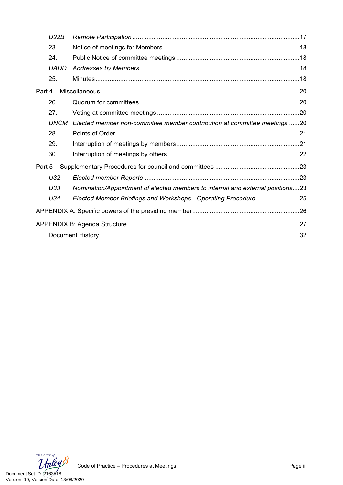| U22B        |                                                                                |  |
|-------------|--------------------------------------------------------------------------------|--|
| 23.         |                                                                                |  |
| 24.         |                                                                                |  |
| <b>UADD</b> |                                                                                |  |
| 25.         |                                                                                |  |
|             |                                                                                |  |
| 26.         |                                                                                |  |
| 27.         |                                                                                |  |
| <b>UNCM</b> | Elected member non-committee member contribution at committee meetings 20      |  |
| 28.         |                                                                                |  |
| 29.         |                                                                                |  |
| 30.         |                                                                                |  |
|             |                                                                                |  |
| U32         |                                                                                |  |
| U33         | Nomination/Appointment of elected members to internal and external positions23 |  |
| U34         | Elected Member Briefings and Workshops - Operating Procedure25                 |  |
|             |                                                                                |  |
|             |                                                                                |  |
|             |                                                                                |  |



Code of Practice – Procedures at Meetings Page ii Page ii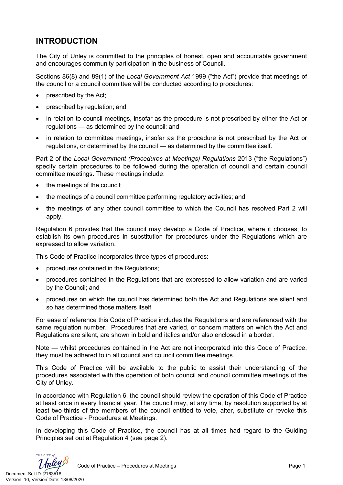# <span id="page-4-0"></span>**INTRODUCTION**

The City of Unley is committed to the principles of honest, open and accountable government and encourages community participation in the business of Council.

Sections 86(8) and 89(1) of the *Local Government Act* 1999 ("the Act") provide that meetings of the council or a council committee will be conducted according to procedures:

- prescribed by the Act;
- prescribed by regulation; and
- in relation to council meetings, insofar as the procedure is not prescribed by either the Act or regulations — as determined by the council; and
- in relation to committee meetings, insofar as the procedure is not prescribed by the Act or regulations, or determined by the council — as determined by the committee itself.

Part 2 of the *Local Government (Procedures at Meetings) Regulations* 2013 ("the Regulations") specify certain procedures to be followed during the operation of council and certain council committee meetings. These meetings include:

- the meetings of the council;
- the meetings of a council committee performing regulatory activities; and
- the meetings of any other council committee to which the Council has resolved Part 2 will apply.

Regulation 6 provides that the council may develop a Code of Practice, where it chooses, to establish its own procedures in substitution for procedures under the Regulations which are expressed to allow variation.

This Code of Practice incorporates three types of procedures:

- procedures contained in the Regulations;
- procedures contained in the Regulations that are expressed to allow variation and are varied by the Council; and
- procedures on which the council has determined both the Act and Regulations are silent and so has determined those matters itself.

For ease of reference this Code of Practice includes the Regulations and are referenced with the same regulation number. Procedures that are varied, or concern matters on which the Act and Regulations are silent, are shown in bold and italics and/or also enclosed in a border.

Note — whilst procedures contained in the Act are not incorporated into this Code of Practice, they must be adhered to in all council and council committee meetings.

This Code of Practice will be available to the public to assist their understanding of the procedures associated with the operation of both council and council committee meetings of the City of Unley.

In accordance with Regulation 6, the council should review the operation of this Code of Practice at least once in every financial year. The council may, at any time, by resolution supported by at least two-thirds of the members of the council entitled to vote, alter, substitute or revoke this Code of Practice - Procedures at Meetings.

In developing this Code of Practice, the council has at all times had regard to the Guiding Principles set out at Regulation 4 (see page 2).

THE CITY of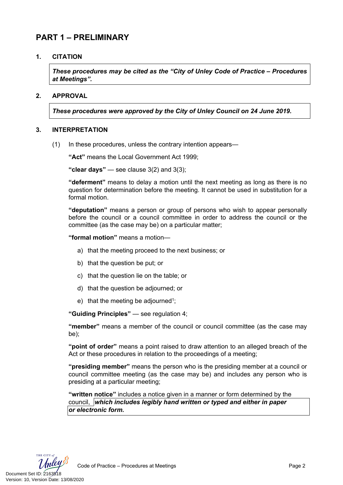# <span id="page-5-0"></span>**PART 1 – PRELIMINARY**

# <span id="page-5-1"></span>**1. CITATION**

*These procedures may be cited as the "City of Unley Code of Practice – Procedures at Meetings".*

# <span id="page-5-2"></span>**2. APPROVAL**

*These procedures were approved by the City of Unley Council on 24 June 2019.*

#### <span id="page-5-3"></span>**3. INTERPRETATION**

(1) In these procedures, unless the contrary intention appears—

**"Act"** means the Local Government Act 1999;

**"clear days"** — see clause 3(2) and 3(3);

**"deferment"** means to delay a motion until the next meeting as long as there is no question for determination before the meeting. It cannot be used in substitution for a formal motion.

**"deputation"** means a person or group of persons who wish to appear personally before the council or a council committee in order to address the council or the committee (as the case may be) on a particular matter;

**"formal motion"** means a motion—

- a) that the meeting proceed to the next business; or
- b) that the question be put; or
- c) that the question lie on the table; or
- d) that the question be adjourned; or
- e) that the meeting be adjourned<sup>1</sup>;

**"Guiding Principles"** — see regulation 4;

**"member"** means a member of the council or council committee (as the case may be);

**"point of order"** means a point raised to draw attention to an alleged breach of the Act or these procedures in relation to the proceedings of a meeting;

**"presiding member"** means the person who is the presiding member at a council or council committee meeting (as the case may be) and includes any person who is presiding at a particular meeting;

**"written notice"** includes a notice given in a manner or form determined by the council, *which includes legibly hand written or typed and either in paper or electronic form.*

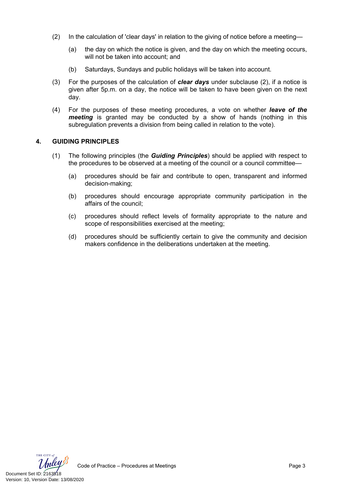- (2) In the calculation of 'clear days' in relation to the giving of notice before a meeting—
	- (a) the day on which the notice is given, and the day on which the meeting occurs, will not be taken into account; and
	- (b) Saturdays, Sundays and public holidays will be taken into account.
- (3) For the purposes of the calculation of *clear days* under subclause (2), if a notice is given after 5p.m. on a day, the notice will be taken to have been given on the next day.
- (4) For the purposes of these meeting procedures, a vote on whether *leave of the meeting* is granted may be conducted by a show of hands (nothing in this subregulation prevents a division from being called in relation to the vote).

# <span id="page-6-0"></span>**4. GUIDING PRINCIPLES**

- (1) The following principles (the *Guiding Principles*) should be applied with respect to the procedures to be observed at a meeting of the council or a council committee—
	- (a) procedures should be fair and contribute to open, transparent and informed decision-making;
	- (b) procedures should encourage appropriate community participation in the affairs of the council;
	- (c) procedures should reflect levels of formality appropriate to the nature and scope of responsibilities exercised at the meeting;
	- (d) procedures should be sufficiently certain to give the community and decision makers confidence in the deliberations undertaken at the meeting.

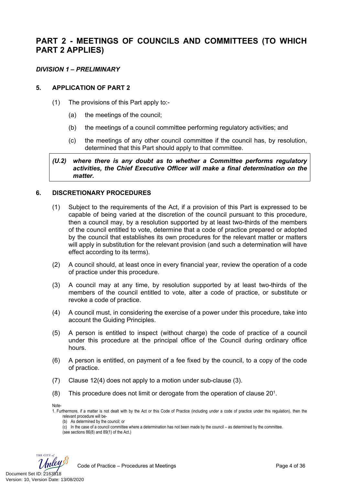# <span id="page-7-0"></span>**PART 2 - MEETINGS OF COUNCILS AND COMMITTEES (TO WHICH PART 2 APPLIES)**

# <span id="page-7-1"></span>*DIVISION 1 – PRELIMINARY*

#### <span id="page-7-2"></span>**5. APPLICATION OF PART 2**

- (1) The provisions of this Part apply to:-
	- (a) the meetings of the council;
	- (b) the meetings of a council committee performing regulatory activities; and
	- (c) the meetings of any other council committee if the council has, by resolution, determined that this Part should apply to that committee.
- *(U.2) where there is any doubt as to whether a Committee performs regulatory activities, the Chief Executive Officer will make a final determination on the matter.*

# <span id="page-7-3"></span>**6. DISCRETIONARY PROCEDURES**

- (1) Subject to the requirements of the Act, if a provision of this Part is expressed to be capable of being varied at the discretion of the council pursuant to this procedure, then a council may, by a resolution supported by at least two-thirds of the members of the council entitled to vote, determine that a code of practice prepared or adopted by the council that establishes its own procedures for the relevant matter or matters will apply in substitution for the relevant provision (and such a determination will have effect according to its terms).
- (2) A council should, at least once in every financial year, review the operation of a code of practice under this procedure.
- (3) A council may at any time, by resolution supported by at least two-thirds of the members of the council entitled to vote, alter a code of practice, or substitute or revoke a code of practice.
- (4) A council must, in considering the exercise of a power under this procedure, take into account the Guiding Principles.
- (5) A person is entitled to inspect (without charge) the code of practice of a council under this procedure at the principal office of the Council during ordinary office hours.
- (6) A person is entitled, on payment of a fee fixed by the council, to a copy of the code of practice.
- (7) Clause 12(4) does not apply to a motion under sub-clause (3).
- $(8)$  This procedure does not limit or derogate from the operation of clause 20<sup>1</sup>.

Note-

<sup>(</sup>see sections  $86(8)$  and  $89(1)$  of the Act.)



<sup>1.</sup> Furthermore, if a matter is not dealt with by the Act or this Code of Practice (including under a code of practice under this regulation), then the relevant procedure will be-

<sup>(</sup>b) As determined by the council; or

 $(c)$  In the case of a council committee where a determination has not been made by the council – as determined by the committee.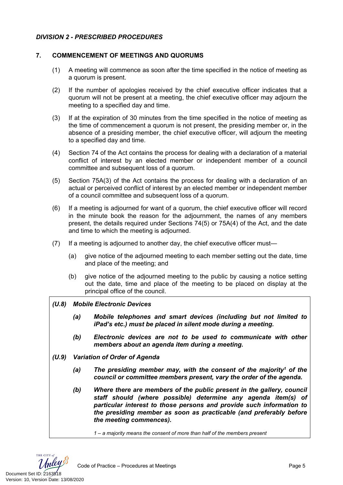# <span id="page-8-0"></span>*DIVISION 2 - PRESCRIBED PROCEDURES*

# <span id="page-8-1"></span>**7. COMMENCEMENT OF MEETINGS AND QUORUMS**

- (1) A meeting will commence as soon after the time specified in the notice of meeting as a quorum is present.
- (2) If the number of apologies received by the chief executive officer indicates that a quorum will not be present at a meeting, the chief executive officer may adjourn the meeting to a specified day and time.
- (3) If at the expiration of 30 minutes from the time specified in the notice of meeting as the time of commencement a quorum is not present, the presiding member or, in the absence of a presiding member, the chief executive officer, will adjourn the meeting to a specified day and time.
- (4) Section 74 of the Act contains the process for dealing with a declaration of a material conflict of interest by an elected member or independent member of a council committee and subsequent loss of a quorum.
- (5) Section 75A(3) of the Act contains the process for dealing with a declaration of an actual or perceived conflict of interest by an elected member or independent member of a council committee and subsequent loss of a quorum.
- (6) If a meeting is adjourned for want of a quorum, the chief executive officer will record in the minute book the reason for the adjournment, the names of any members present, the details required under Sections 74(5) or 75A(4) of the Act, and the date and time to which the meeting is adjourned.
- (7) If a meeting is adjourned to another day, the chief executive officer must—
	- (a) give notice of the adjourned meeting to each member setting out the date, time and place of the meeting; and
	- (b) give notice of the adjourned meeting to the public by causing a notice setting out the date, time and place of the meeting to be placed on display at the principal office of the council.

# *(U.8) Mobile Electronic Devices*

- *(a) Mobile telephones and smart devices (including but not limited to iPad's etc.) must be placed in silent mode during a meeting.*
- *(b) Electronic devices are not to be used to communicate with other members about an agenda item during a meeting.*
- *(U.9) Variation of Order of Agenda*
	- *(a) The presiding member may, with the consent of the majority<sup>1</sup> of the council or committee members present, vary the order of the agenda.*
	- *(b) Where there are members of the public present in the gallery, council staff should (where possible) determine any agenda item(s) of particular interest to those persons and provide such information to the presiding member as soon as practicable (and preferably before the meeting commences).*

*1 – a majority means the consent of more than half of the members present*

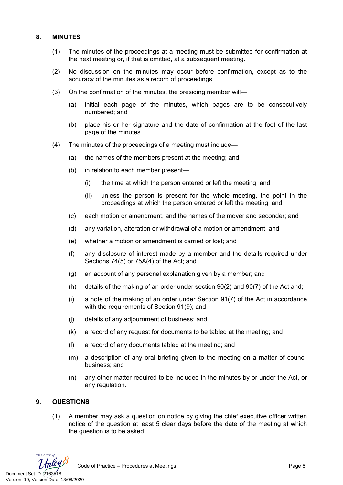# <span id="page-9-0"></span>**8. MINUTES**

- (1) The minutes of the proceedings at a meeting must be submitted for confirmation at the next meeting or, if that is omitted, at a subsequent meeting.
- (2) No discussion on the minutes may occur before confirmation, except as to the accuracy of the minutes as a record of proceedings.
- (3) On the confirmation of the minutes, the presiding member will—
	- (a) initial each page of the minutes, which pages are to be consecutively numbered; and
	- (b) place his or her signature and the date of confirmation at the foot of the last page of the minutes.
- (4) The minutes of the proceedings of a meeting must include—
	- (a) the names of the members present at the meeting; and
	- (b) in relation to each member present—
		- (i) the time at which the person entered or left the meeting; and
		- (ii) unless the person is present for the whole meeting, the point in the proceedings at which the person entered or left the meeting; and
	- (c) each motion or amendment, and the names of the mover and seconder; and
	- (d) any variation, alteration or withdrawal of a motion or amendment; and
	- (e) whether a motion or amendment is carried or lost; and
	- (f) any disclosure of interest made by a member and the details required under Sections 74(5) or 75A(4) of the Act; and
	- (g) an account of any personal explanation given by a member; and
	- (h) details of the making of an order under section 90(2) and 90(7) of the Act and;
	- (i) a note of the making of an order under Section 91(7) of the Act in accordance with the requirements of Section 91(9); and
	- (j) details of any adjournment of business; and
	- (k) a record of any request for documents to be tabled at the meeting; and
	- (l) a record of any documents tabled at the meeting; and
	- (m) a description of any oral briefing given to the meeting on a matter of council business; and
	- (n) any other matter required to be included in the minutes by or under the Act, or any regulation.

# <span id="page-9-1"></span>**9. QUESTIONS**

(1) A member may ask a question on notice by giving the chief executive officer written notice of the question at least 5 clear days before the date of the meeting at which the question is to be asked.

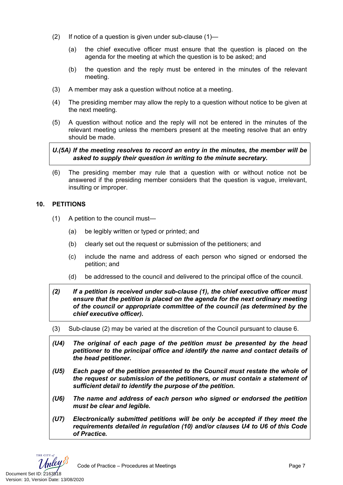- (2) If notice of a question is given under sub-clause (1)—
	- (a) the chief executive officer must ensure that the question is placed on the agenda for the meeting at which the question is to be asked; and
	- (b) the question and the reply must be entered in the minutes of the relevant meeting.
- (3) A member may ask a question without notice at a meeting.
- (4) The presiding member may allow the reply to a question without notice to be given at the next meeting.
- (5) A question without notice and the reply will not be entered in the minutes of the relevant meeting unless the members present at the meeting resolve that an entry should be made.

*U.(5A) If the meeting resolves to record an entry in the minutes, the member will be asked to supply their question in writing to the minute secretary.*

(6) The presiding member may rule that a question with or without notice not be answered if the presiding member considers that the question is vague, irrelevant, insulting or improper.

# <span id="page-10-0"></span>**10. PETITIONS**

- (1) A petition to the council must—
	- (a) be legibly written or typed or printed; and
	- (b) clearly set out the request or submission of the petitioners; and
	- (c) include the name and address of each person who signed or endorsed the petition; and
	- (d) be addressed to the council and delivered to the principal office of the council.
- *(2) If a petition is received under sub-clause (1), the chief executive officer must ensure that the petition is placed on the agenda for the next ordinary meeting of the council or appropriate committee of the council (as determined by the chief executive officer).*
- (3) Sub-clause (2) may be varied at the discretion of the Council pursuant to clause 6.
- *(U4) The original of each page of the petition must be presented by the head petitioner to the principal office and identify the name and contact details of the head petitioner.*
- *(U5) Each page of the petition presented to the Council must restate the whole of the request or submission of the petitioners, or must contain a statement of sufficient detail to identify the purpose of the petition.*
- *(U6) The name and address of each person who signed or endorsed the petition must be clear and legible.*
- *(U7) Electronically submitted petitions will be only be accepted if they meet the requirements detailed in regulation (10) and/or clauses U4 to U6 of this Code of Practice.*

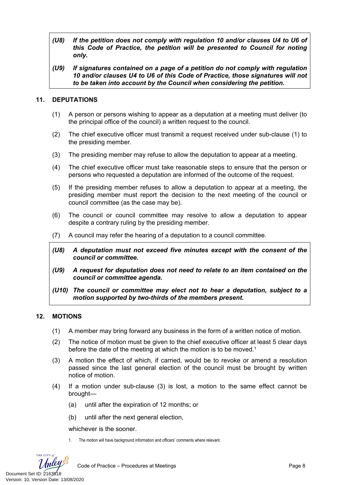- *(U8) If the petition does not comply with regulation 10 and/or clauses U4 to U6 of this Code of Practice, the petition will be presented to Council for noting only.*
- *(U9) If signatures contained on a page of a petition do not comply with regulation 10 and/or clauses U4 to U6 of this Code of Practice, those signatures will not to be taken into account by the Council when considering the petition.*

# <span id="page-11-0"></span>**11. DEPUTATIONS**

- (1) A person or persons wishing to appear as a deputation at a meeting must deliver (to the principal office of the council) a written request to the council.
- (2) The chief executive officer must transmit a request received under sub-clause (1) to the presiding member.
- (3) The presiding member may refuse to allow the deputation to appear at a meeting.
- (4) The chief executive officer must take reasonable steps to ensure that the person or persons who requested a deputation are informed of the outcome of the request.
- (5) If the presiding member refuses to allow a deputation to appear at a meeting, the presiding member must report the decision to the next meeting of the council or council committee (as the case may be).
- (6) The council or council committee may resolve to allow a deputation to appear despite a contrary ruling by the presiding member.
- (7) A council may refer the hearing of a deputation to a council committee.
- *(U8) A deputation must not exceed five minutes except with the consent of the council or committee.*
- *(U9) A request for deputation does not need to relate to an item contained on the council or committee agenda.*
- *(U10) The council or committee may elect not to hear a deputation, subject to a motion supported by two-thirds of the members present.*

# <span id="page-11-1"></span>**12. MOTIONS**

- (1) A member may bring forward any business in the form of a written notice of motion.
- (2) The notice of motion must be given to the chief executive officer at least 5 clear days before the date of the meeting at which the motion is to be moved.<sup>1</sup>
- (3) A motion the effect of which, if carried, would be to revoke or amend a resolution passed since the last general election of the council must be brought by written notice of motion.
- (4) If a motion under sub-clause (3) is lost, a motion to the same effect cannot be brought—
	- (a) until after the expiration of 12 months; or
	- (b) until after the next general election,

whichever is the sooner.

1. The motion will have background information and officers' comments where relevant.

THE CITY of

Document Set ID: 2163518<br>Version: 10, Version Date: 13/08/2020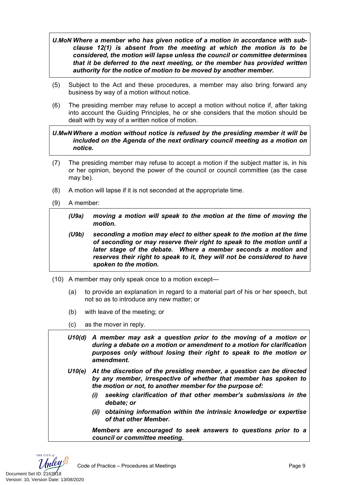- *U.MoN Where a member who has given notice of a motion in accordance with subclause 12(1) is absent from the meeting at which the motion is to be considered, the motion will lapse unless the council or committee determines that it be deferred to the next meeting, or the member has provided written authority for the notice of motion to be moved by another member.*
- (5) Subject to the Act and these procedures, a member may also bring forward any business by way of a motion without notice.
- (6) The presiding member may refuse to accept a motion without notice if, after taking into account the Guiding Principles, he or she considers that the motion should be dealt with by way of a written notice of motion.

# *U.MwN Where a motion without notice is refused by the presiding member it will be included on the Agenda of the next ordinary council meeting as a motion on notice.*

- (7) The presiding member may refuse to accept a motion if the subject matter is, in his or her opinion, beyond the power of the council or council committee (as the case may be).
- (8) A motion will lapse if it is not seconded at the appropriate time.
- (9) A member:

*(U9a) moving a motion will speak to the motion at the time of moving the motion.*

*(U9b) seconding a motion may elect to either speak to the motion at the time of seconding or may reserve their right to speak to the motion until a later stage of the debate. Where a member seconds a motion and reserves their right to speak to it, they will not be considered to have spoken to the motion.*

- (10) A member may only speak once to a motion except—
	- (a) to provide an explanation in regard to a material part of his or her speech, but not so as to introduce any new matter; or
	- (b) with leave of the meeting; or
	- (c) as the mover in reply.

*U10(d) A member may ask a question prior to the moving of a motion or during a debate on a motion or amendment to a motion for clarification purposes only without losing their right to speak to the motion or amendment.*

*U10(e) At the discretion of the presiding member, a question can be directed by any member, irrespective of whether that member has spoken to the motion or not, to another member for the purpose of:*

- *(i) seeking clarification of that other member's submissions in the debate; or*
- *(ii) obtaining information within the intrinsic knowledge or expertise of that other Member.*

*Members are encouraged to seek answers to questions prior to a council or committee meeting.*

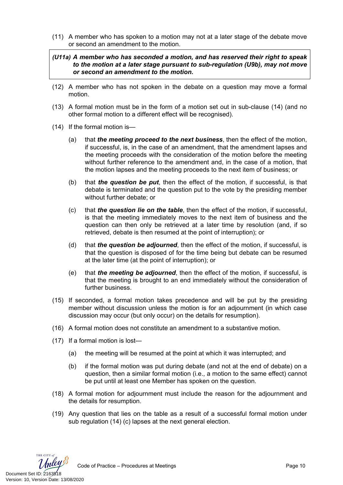(11) A member who has spoken to a motion may not at a later stage of the debate move or second an amendment to the motion.

# *(U11a) A member who has seconded a motion, and has reserved their right to speak to the motion at a later stage pursuant to sub-regulation (U9b), may not move or second an amendment to the motion.*

- (12) A member who has not spoken in the debate on a question may move a formal motion.
- (13) A formal motion must be in the form of a motion set out in sub-clause (14) (and no other formal motion to a different effect will be recognised).
- (14) If the formal motion is—
	- (a) that *the meeting proceed to the next business*, then the effect of the motion, if successful, is, in the case of an amendment, that the amendment lapses and the meeting proceeds with the consideration of the motion before the meeting without further reference to the amendment and, in the case of a motion, that the motion lapses and the meeting proceeds to the next item of business; or
	- (b) that *the question be put*, then the effect of the motion, if successful, is that debate is terminated and the question put to the vote by the presiding member without further debate; or
	- (c) that *the question lie on the table*, then the effect of the motion, if successful, is that the meeting immediately moves to the next item of business and the question can then only be retrieved at a later time by resolution (and, if so retrieved, debate is then resumed at the point of interruption); or
	- (d) that *the question be adjourned*, then the effect of the motion, if successful, is that the question is disposed of for the time being but debate can be resumed at the later time (at the point of interruption); or
	- (e) that *the meeting be adjourned*, then the effect of the motion, if successful, is that the meeting is brought to an end immediately without the consideration of further business.
- (15) If seconded, a formal motion takes precedence and will be put by the presiding member without discussion unless the motion is for an adjournment (in which case discussion may occur (but only occur) on the details for resumption).
- (16) A formal motion does not constitute an amendment to a substantive motion.
- (17) If a formal motion is lost—
	- (a) the meeting will be resumed at the point at which it was interrupted; and
	- (b) if the formal motion was put during debate (and not at the end of debate) on a question, then a similar formal motion (i.e., a motion to the same effect) cannot be put until at least one Member has spoken on the question.
- (18) A formal motion for adjournment must include the reason for the adjournment and the details for resumption.
- (19) Any question that lies on the table as a result of a successful formal motion under sub regulation (14) (c) lapses at the next general election.

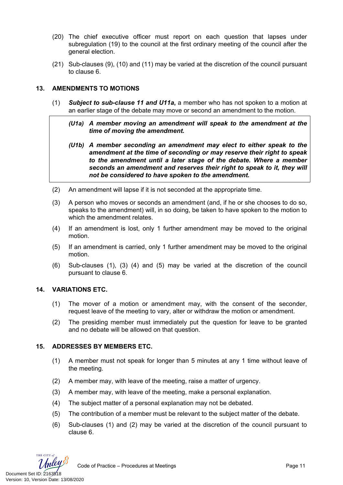- (20) The chief executive officer must report on each question that lapses under subregulation (19) to the council at the first ordinary meeting of the council after the general election.
- (21) Sub-clauses (9), (10) and (11) may be varied at the discretion of the council pursuant to clause 6.

# <span id="page-14-0"></span>**13. AMENDMENTS TO MOTIONS**

- (1) *Subject to sub-clause 11 and U11a***,** a member who has not spoken to a motion at an earlier stage of the debate may move or second an amendment to the motion.
	- *(U1a) A member moving an amendment will speak to the amendment at the time of moving the amendment.*
	- *(U1b) A member seconding an amendment may elect to either speak to the amendment at the time of seconding or may reserve their right to speak to the amendment until a later stage of the debate. Where a member seconds an amendment and reserves their right to speak to it, they will not be considered to have spoken to the amendment.*
- (2) An amendment will lapse if it is not seconded at the appropriate time.
- (3) A person who moves or seconds an amendment (and, if he or she chooses to do so, speaks to the amendment) will, in so doing, be taken to have spoken to the motion to which the amendment relates.
- (4) If an amendment is lost, only 1 further amendment may be moved to the original motion.
- (5) If an amendment is carried, only 1 further amendment may be moved to the original motion.
- (6) Sub-clauses (1), (3) (4) and (5) may be varied at the discretion of the council pursuant to clause 6.

# <span id="page-14-1"></span>**14. VARIATIONS ETC.**

- (1) The mover of a motion or amendment may, with the consent of the seconder, request leave of the meeting to vary, alter or withdraw the motion or amendment.
- (2) The presiding member must immediately put the question for leave to be granted and no debate will be allowed on that question.

# <span id="page-14-2"></span>**15. ADDRESSES BY MEMBERS ETC.**

- (1) A member must not speak for longer than 5 minutes at any 1 time without leave of the meeting.
- (2) A member may, with leave of the meeting, raise a matter of urgency.
- (3) A member may, with leave of the meeting, make a personal explanation.
- (4) The subject matter of a personal explanation may not be debated.
- (5) The contribution of a member must be relevant to the subject matter of the debate.
- (6) Sub-clauses (1) and (2) may be varied at the discretion of the council pursuant to clause 6.

THE CITY of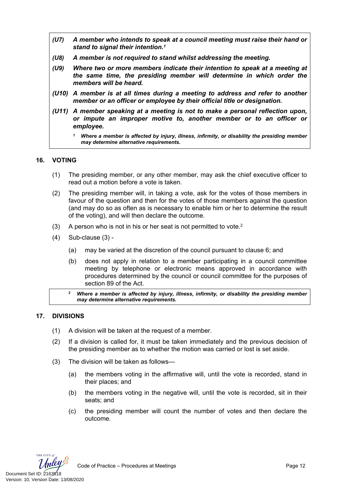- *(U7) A member who intends to speak at a council meeting must raise their hand or stand to signal their intention.<sup>1</sup>*
- *(U8) A member is not required to stand whilst addressing the meeting.*
- *(U9) Where two or more members indicate their intention to speak at a meeting at the same time, the presiding member will determine in which order the members will be heard.*
- *(U10) A member is at all times during a meeting to address and refer to another member or an officer or employee by their official title or designation.*
- *(U11) A member speaking at a meeting is not to make a personal reflection upon, or impute an improper motive to, another member or to an officer or employee.*
	- *<sup>1</sup> Where a member is affected by injury, illness, infirmity, or disability the presiding member may determine alternative requirements.*

# <span id="page-15-0"></span>**16. VOTING**

- (1) The presiding member, or any other member, may ask the chief executive officer to read out a motion before a vote is taken.
- (2) The presiding member will, in taking a vote, ask for the votes of those members in favour of the question and then for the votes of those members against the question (and may do so as often as is necessary to enable him or her to determine the result of the voting), and will then declare the outcome.
- $(3)$  A person who is not in his or her seat is not permitted to vote.<sup>2</sup>
- (4) Sub-clause (3)
	- (a) may be varied at the discretion of the council pursuant to clause 6; and
	- (b) does not apply in relation to a member participating in a council committee meeting by telephone or electronic means approved in accordance with procedures determined by the council or council committee for the purposes of section 89 of the Act.

*<sup>2</sup> Where a member is affected by injury, illness, infirmity, or disability the presiding member may determine alternative requirements.*

# <span id="page-15-1"></span>**17. DIVISIONS**

- (1) A division will be taken at the request of a member.
- (2) If a division is called for, it must be taken immediately and the previous decision of the presiding member as to whether the motion was carried or lost is set aside.
- (3) The division will be taken as follows—
	- (a) the members voting in the affirmative will, until the vote is recorded, stand in their places; and
	- (b) the members voting in the negative will, until the vote is recorded, sit in their seats; and
	- (c) the presiding member will count the number of votes and then declare the outcome.

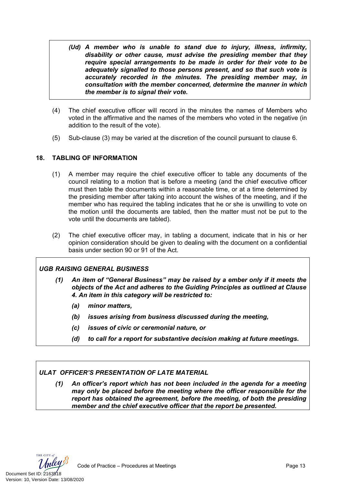- *(Ud) A member who is unable to stand due to injury, illness, infirmity, disability or other cause, must advise the presiding member that they require special arrangements to be made in order for their vote to be adequately signalled to those persons present, and so that such vote is accurately recorded in the minutes. The presiding member may, in consultation with the member concerned, determine the manner in which the member is to signal their vote.*
- (4) The chief executive officer will record in the minutes the names of Members who voted in the affirmative and the names of the members who voted in the negative (in addition to the result of the vote).
- (5) Sub-clause (3) may be varied at the discretion of the council pursuant to clause 6.

# <span id="page-16-0"></span>**18. TABLING OF INFORMATION**

- (1) A member may require the chief executive officer to table any documents of the council relating to a motion that is before a meeting (and the chief executive officer must then table the documents within a reasonable time, or at a time determined by the presiding member after taking into account the wishes of the meeting, and if the member who has required the tabling indicates that he or she is unwilling to vote on the motion until the documents are tabled, then the matter must not be put to the vote until the documents are tabled).
- (2) The chief executive officer may, in tabling a document, indicate that in his or her opinion consideration should be given to dealing with the document on a confidential basis under section 90 or 91 of the Act.

# <span id="page-16-1"></span>*UGB RAISING GENERAL BUSINESS*

- *(1) An item of "General Business" may be raised by a ember only if it meets the objects of the Act and adheres to the Guiding Principles as outlined at Clause 4. An item in this category will be restricted to:*
	- *(a) minor matters,*
	- *(b) issues arising from business discussed during the meeting,*
	- *(c) issues of civic or ceremonial nature, or*
	- *(d) to call for a report for substantive decision making at future meetings.*

# <span id="page-16-2"></span>*ULAT OFFICER'S PRESENTATION OF LATE MATERIAL*

*(1) An officer's report which has not been included in the agenda for a meeting may only be placed before the meeting where the officer responsible for the report has obtained the agreement, before the meeting, of both the presiding member and the chief executive officer that the report be presented.*

THE CITY of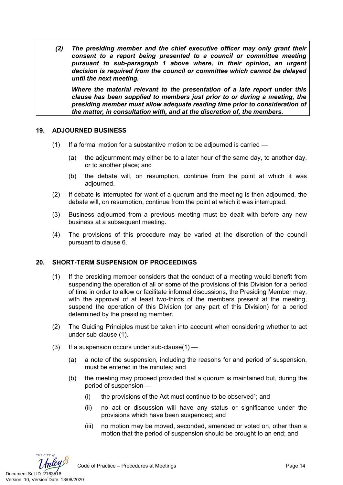*(2) The presiding member and the chief executive officer may only grant their consent to a report being presented to a council or committee meeting pursuant to sub-paragraph 1 above where, in their opinion, an urgent decision is required from the council or committee which cannot be delayed until the next meeting.*

*Where the material relevant to the presentation of a late report under this clause has been supplied to members just prior to or during a meeting, the presiding member must allow adequate reading time prior to consideration of the matter, in consultation with, and at the discretion of, the members.*

# <span id="page-17-0"></span>**19. ADJOURNED BUSINESS**

- (1) If a formal motion for a substantive motion to be adjourned is carried
	- (a) the adjournment may either be to a later hour of the same day, to another day, or to another place; and
	- (b) the debate will, on resumption, continue from the point at which it was adjourned.
- (2) If debate is interrupted for want of a quorum and the meeting is then adjourned, the debate will, on resumption, continue from the point at which it was interrupted.
- (3) Business adjourned from a previous meeting must be dealt with before any new business at a subsequent meeting.
- (4) The provisions of this procedure may be varied at the discretion of the council pursuant to clause 6.

# <span id="page-17-1"></span>**20. SHORT-TERM SUSPENSION OF PROCEEDINGS**

- (1) If the presiding member considers that the conduct of a meeting would benefit from suspending the operation of all or some of the provisions of this Division for a period of time in order to allow or facilitate informal discussions, the Presiding Member may, with the approval of at least two-thirds of the members present at the meeting, suspend the operation of this Division (or any part of this Division) for a period determined by the presiding member.
- (2) The Guiding Principles must be taken into account when considering whether to act under sub-clause (1).
- $(3)$  If a suspension occurs under sub-clause $(1)$ 
	- (a) a note of the suspension, including the reasons for and period of suspension, must be entered in the minutes; and
	- (b) the meeting may proceed provided that a quorum is maintained but, during the period of suspension —
		- $(i)$  the provisions of the Act must continue to be observed<sup>1</sup>; and
		- (ii) no act or discussion will have any status or significance under the provisions which have been suspended; and
		- (iii) no motion may be moved, seconded, amended or voted on, other than a motion that the period of suspension should be brought to an end; and

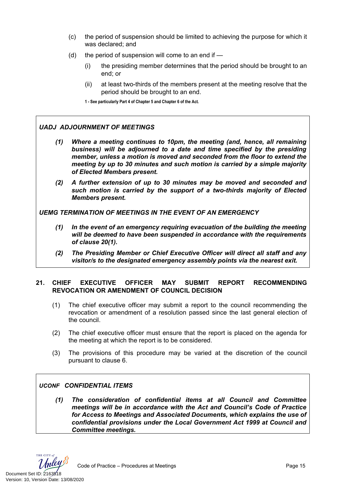- (c) the period of suspension should be limited to achieving the purpose for which it was declared; and
- (d) the period of suspension will come to an end if  $-$ 
	- (i) the presiding member determines that the period should be brought to an end; or
	- (ii) at least two-thirds of the members present at the meeting resolve that the period should be brought to an end.
	- **1 See particularly Part 4 of Chapter 5 and Chapter 6 of the Act.**

# <span id="page-18-0"></span>*UADJ ADJOURNMENT OF MEETINGS*

- *(1) Where a meeting continues to 10pm, the meeting (and, hence, all remaining business) will be adjourned to a date and time specified by the presiding member, unless a motion is moved and seconded from the floor to extend the meeting by up to 30 minutes and such motion is carried by a simple majority of Elected Members present.*
- *(2) A further extension of up to 30 minutes may be moved and seconded and such motion is carried by the support of a two-thirds majority of Elected Members present.*

<span id="page-18-1"></span>*UEMG TERMINATION OF MEETINGS IN THE EVENT OF AN EMERGENCY*

- *(1) In the event of an emergency requiring evacuation of the building the meeting will be deemed to have been suspended in accordance with the requirements of clause 20(1).*
- *(2) The Presiding Member or Chief Executive Officer will direct all staff and any visitor/s to the designated emergency assembly points via the nearest exit.*

# <span id="page-18-2"></span>**21. CHIEF EXECUTIVE OFFICER MAY SUBMIT REPORT RECOMMENDING REVOCATION OR AMENDMENT OF COUNCIL DECISION**

- (1) The chief executive officer may submit a report to the council recommending the revocation or amendment of a resolution passed since the last general election of the council.
- (2) The chief executive officer must ensure that the report is placed on the agenda for the meeting at which the report is to be considered.
- (3) The provisions of this procedure may be varied at the discretion of the council pursuant to clause 6.

# <span id="page-18-3"></span>*UCONF CONFIDENTIAL ITEMS*

*(1) The consideration of confidential items at all Council and Committee meetings will be in accordance with the Act and Council's Code of Practice for Access to Meetings and Associated Documents, which explains the use of confidential provisions under the Local Government Act 1999 at Council and Committee meetings.*

THE CITY of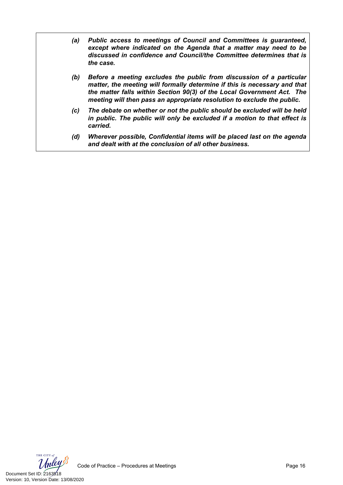- *(a) Public access to meetings of Council and Committees is guaranteed, except where indicated on the Agenda that a matter may need to be discussed in confidence and Council/the Committee determines that is the case.*
- *(b) Before a meeting excludes the public from discussion of a particular matter, the meeting will formally determine if this is necessary and that the matter falls within Section 90(3) of the Local Government Act. The meeting will then pass an appropriate resolution to exclude the public.*
- *(c) The debate on whether or not the public should be excluded will be held in public. The public will only be excluded if a motion to that effect is carried.*
- *(d) Wherever possible, Confidential items will be placed last on the agenda and dealt with at the conclusion of all other business.*

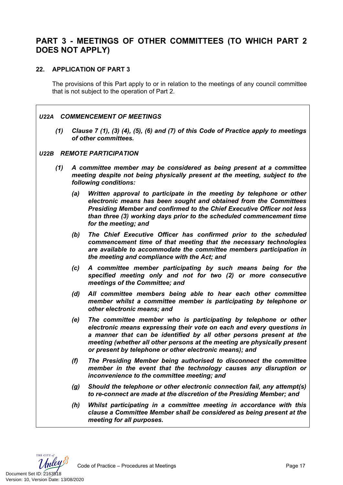# <span id="page-20-0"></span>**PART 3 - MEETINGS OF OTHER COMMITTEES (TO WHICH PART 2 DOES NOT APPLY)**

# <span id="page-20-1"></span>**22. APPLICATION OF PART 3**

The provisions of this Part apply to or in relation to the meetings of any council committee that is not subject to the operation of Part 2.

# <span id="page-20-2"></span>*U22A COMMENCEMENT OF MEETINGS*

*(1) Clause 7 (1), (3) (4), (5), (6) and (7) of this Code of Practice apply to meetings of other committees.*

#### <span id="page-20-3"></span>*U22B REMOTE PARTICIPATION*

- *(1) A committee member may be considered as being present at a committee meeting despite not being physically present at the meeting, subject to the following conditions:*
	- *(a) Written approval to participate in the meeting by telephone or other electronic means has been sought and obtained from the Committees Presiding Member and confirmed to the Chief Executive Officer not less than three (3) working days prior to the scheduled commencement time for the meeting; and*
	- *(b) The Chief Executive Officer has confirmed prior to the scheduled commencement time of that meeting that the necessary technologies are available to accommodate the committee members participation in the meeting and compliance with the Act; and*
	- *(c) A committee member participating by such means being for the specified meeting only and not for two (2) or more consecutive meetings of the Committee; and*
	- *(d) All committee members being able to hear each other committee member whilst a committee member is participating by telephone or other electronic means; and*
	- *(e) The committee member who is participating by telephone or other electronic means expressing their vote on each and every questions in a manner that can be identified by all other persons present at the meeting (whether all other persons at the meeting are physically present or present by telephone or other electronic means); and*
	- *(f) The Presiding Member being authorised to disconnect the committee member in the event that the technology causes any disruption or inconvenience to the committee meeting; and*
	- *(g) Should the telephone or other electronic connection fail, any attempt(s) to re-connect are made at the discretion of the Presiding Member; and*
	- *(h) Whilst participating in a committee meeting in accordance with this clause a Committee Member shall be considered as being present at the meeting for all purposes.*

THE CITY of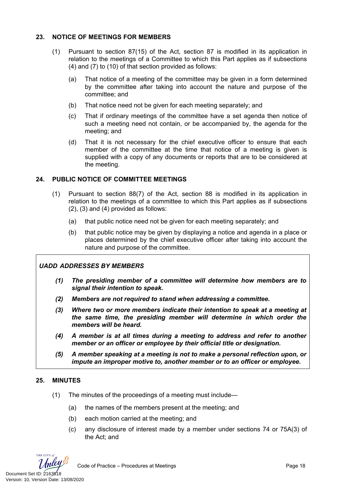# <span id="page-21-0"></span>**23. NOTICE OF MEETINGS FOR MEMBERS**

- (1) Pursuant to section 87(15) of the Act, section 87 is modified in its application in relation to the meetings of a Committee to which this Part applies as if subsections (4) and (7) to (10) of that section provided as follows:
	- (a) That notice of a meeting of the committee may be given in a form determined by the committee after taking into account the nature and purpose of the committee; and
	- (b) That notice need not be given for each meeting separately; and
	- (c) That if ordinary meetings of the committee have a set agenda then notice of such a meeting need not contain, or be accompanied by, the agenda for the meeting; and
	- (d) That it is not necessary for the chief executive officer to ensure that each member of the committee at the time that notice of a meeting is given is supplied with a copy of any documents or reports that are to be considered at the meeting.

# <span id="page-21-1"></span>**24. PUBLIC NOTICE OF COMMITTEE MEETINGS**

- (1) Pursuant to section 88(7) of the Act, section 88 is modified in its application in relation to the meetings of a committee to which this Part applies as if subsections (2), (3) and (4) provided as follows:
	- (a) that public notice need not be given for each meeting separately; and
	- (b) that public notice may be given by displaying a notice and agenda in a place or places determined by the chief executive officer after taking into account the nature and purpose of the committee.

# <span id="page-21-2"></span>*UADD ADDRESSES BY MEMBERS*

- *(1) The presiding member of a committee will determine how members are to signal their intention to speak.*
- *(2) Members are not required to stand when addressing a committee.*
- *(3) Where two or more members indicate their intention to speak at a meeting at the same time, the presiding member will determine in which order the members will be heard.*
- *(4) A member is at all times during a meeting to address and refer to another member or an officer or employee by their official title or designation.*
- *(5) A member speaking at a meeting is not to make a personal reflection upon, or impute an improper motive to, another member or to an officer or employee.*

# <span id="page-21-3"></span>**25. MINUTES**

- (1) The minutes of the proceedings of a meeting must include—
	- (a) the names of the members present at the meeting; and
	- (b) each motion carried at the meeting; and
	- (c) any disclosure of interest made by a member under sections 74 or 75A(3) of the Act; and

THE CITY of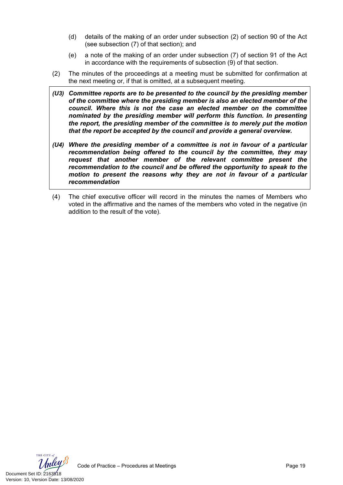- (d) details of the making of an order under subsection (2) of section 90 of the Act (see subsection (7) of that section); and
- (e) a note of the making of an order under subsection (7) of section 91 of the Act in accordance with the requirements of subsection (9) of that section.
- (2) The minutes of the proceedings at a meeting must be submitted for confirmation at the next meeting or, if that is omitted, at a subsequent meeting.
- *(U3) Committee reports are to be presented to the council by the presiding member of the committee where the presiding member is also an elected member of the council. Where this is not the case an elected member on the committee nominated by the presiding member will perform this function. In presenting the report, the presiding member of the committee is to merely put the motion that the report be accepted by the council and provide a general overview.*
- *(U4) Where the presiding member of a committee is not in favour of a particular recommendation being offered to the council by the committee, they may request that another member of the relevant committee present the recommendation to the council and be offered the opportunity to speak to the motion to present the reasons why they are not in favour of a particular recommendation*
- (4) The chief executive officer will record in the minutes the names of Members who voted in the affirmative and the names of the members who voted in the negative (in addition to the result of the vote).

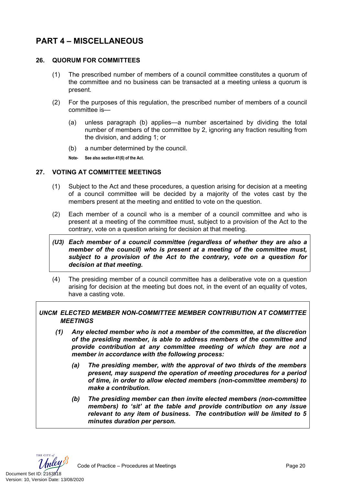# <span id="page-23-0"></span>**PART 4 – MISCELLANEOUS**

# <span id="page-23-1"></span>**26. QUORUM FOR COMMITTEES**

- (1) The prescribed number of members of a council committee constitutes a quorum of the committee and no business can be transacted at a meeting unless a quorum is present.
- (2) For the purposes of this regulation, the prescribed number of members of a council committee is—
	- (a) unless paragraph (b) applies—a number ascertained by dividing the total number of members of the committee by 2, ignoring any fraction resulting from the division, and adding 1; or
	- (b) a number determined by the council.

**Note- See also section 41(6) of the Act.**

# <span id="page-23-2"></span>**27. VOTING AT COMMITTEE MEETINGS**

- (1) Subject to the Act and these procedures, a question arising for decision at a meeting of a council committee will be decided by a majority of the votes cast by the members present at the meeting and entitled to vote on the question.
- (2) Each member of a council who is a member of a council committee and who is present at a meeting of the committee must, subject to a provision of the Act to the contrary, vote on a question arising for decision at that meeting.
- *(U3) Each member of a council committee (regardless of whether they are also a member of the council) who is present at a meeting of the committee must, subject to a provision of the Act to the contrary, vote on a question for decision at that meeting.*
- (4) The presiding member of a council committee has a deliberative vote on a question arising for decision at the meeting but does not, in the event of an equality of votes, have a casting vote.

# <span id="page-23-3"></span>*UNCM ELECTED MEMBER NON-COMMITTEE MEMBER CONTRIBUTION AT COMMITTEE MEETINGS*

- *(1) Any elected member who is not a member of the committee, at the discretion of the presiding member, is able to address members of the committee and provide contribution at any committee meeting of which they are not a member in accordance with the following process:*
	- *(a) The presiding member, with the approval of two thirds of the members present, may suspend the operation of meeting procedures for a period of time, in order to allow elected members (non-committee members) to make a contribution.*
	- *(b) The presiding member can then invite elected members (non-committee members) to 'sit' at the table and provide contribution on any issue relevant to any item of business. The contribution will be limited to 5 minutes duration per person.*

THE CITY of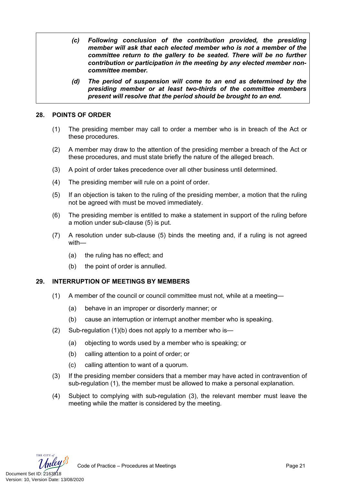- *(c) Following conclusion of the contribution provided, the presiding member will ask that each elected member who is not a member of the committee return to the gallery to be seated. There will be no further contribution or participation in the meeting by any elected member noncommittee member.*
- *(d) The period of suspension will come to an end as determined by the presiding member or at least two-thirds of the committee members present will resolve that the period should be brought to an end.*

# <span id="page-24-0"></span>**28. POINTS OF ORDER**

- (1) The presiding member may call to order a member who is in breach of the Act or these procedures.
- (2) A member may draw to the attention of the presiding member a breach of the Act or these procedures, and must state briefly the nature of the alleged breach.
- (3) A point of order takes precedence over all other business until determined.
- (4) The presiding member will rule on a point of order.
- (5) If an objection is taken to the ruling of the presiding member, a motion that the ruling not be agreed with must be moved immediately.
- (6) The presiding member is entitled to make a statement in support of the ruling before a motion under sub-clause (5) is put.
- (7) A resolution under sub-clause (5) binds the meeting and, if a ruling is not agreed with—
	- (a) the ruling has no effect; and
	- (b) the point of order is annulled.

#### <span id="page-24-1"></span>**29. INTERRUPTION OF MEETINGS BY MEMBERS**

- (1) A member of the council or council committee must not, while at a meeting—
	- (a) behave in an improper or disorderly manner; or
	- (b) cause an interruption or interrupt another member who is speaking.
- (2) Sub-regulation (1)(b) does not apply to a member who is—
	- (a) objecting to words used by a member who is speaking; or
	- (b) calling attention to a point of order; or
	- (c) calling attention to want of a quorum.
- (3) If the presiding member considers that a member may have acted in contravention of sub-regulation (1), the member must be allowed to make a personal explanation.
- (4) Subject to complying with sub-regulation (3), the relevant member must leave the meeting while the matter is considered by the meeting.

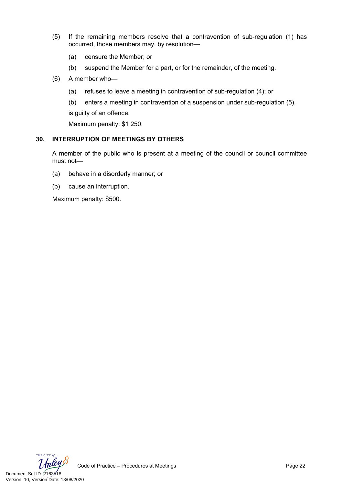- (5) If the remaining members resolve that a contravention of sub-regulation (1) has occurred, those members may, by resolution—
	- (a) censure the Member; or
	- (b) suspend the Member for a part, or for the remainder, of the meeting.
- (6) A member who—
	- (a) refuses to leave a meeting in contravention of sub-regulation (4); or
	- (b) enters a meeting in contravention of a suspension under sub-regulation (5),

is guilty of an offence.

Maximum penalty: \$1 250.

# <span id="page-25-0"></span>**30. INTERRUPTION OF MEETINGS BY OTHERS**

A member of the public who is present at a meeting of the council or council committee must not—

- (a) behave in a disorderly manner; or
- (b) cause an interruption.

Maximum penalty: \$500.

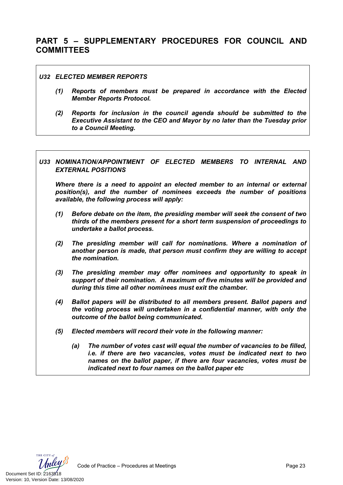# <span id="page-26-0"></span>**PART 5 – SUPPLEMENTARY PROCEDURES FOR COUNCIL AND COMMITTEES**

#### <span id="page-26-1"></span>*U32 ELECTED MEMBER REPORTS*

- *(1) Reports of members must be prepared in accordance with the Elected Member Reports Protocol.*
- *(2) Reports for inclusion in the council agenda should be submitted to the Executive Assistant to the CEO and Mayor by no later than the Tuesday prior to a Council Meeting.*

# <span id="page-26-2"></span>*U33 NOMINATION/APPOINTMENT OF ELECTED MEMBERS TO INTERNAL AND EXTERNAL POSITIONS*

*Where there is a need to appoint an elected member to an internal or external position(s), and the number of nominees exceeds the number of positions available, the following process will apply:*

- *(1) Before debate on the item, the presiding member will seek the consent of two thirds of the members present for a short term suspension of proceedings to undertake a ballot process.*
- *(2) The presiding member will call for nominations. Where a nomination of another person is made, that person must confirm they are willing to accept the nomination.*
- *(3) The presiding member may offer nominees and opportunity to speak in support of their nomination. A maximum of five minutes will be provided and during this time all other nominees must exit the chamber.*
- *(4) Ballot papers will be distributed to all members present. Ballot papers and the voting process will undertaken in a confidential manner, with only the outcome of the ballot being communicated.*
- *(5) Elected members will record their vote in the following manner:*
	- *(a) The number of votes cast will equal the number of vacancies to be filled, i.e. if there are two vacancies, votes must be indicated next to two names on the ballot paper, if there are four vacancies, votes must be indicated next to four names on the ballot paper etc*

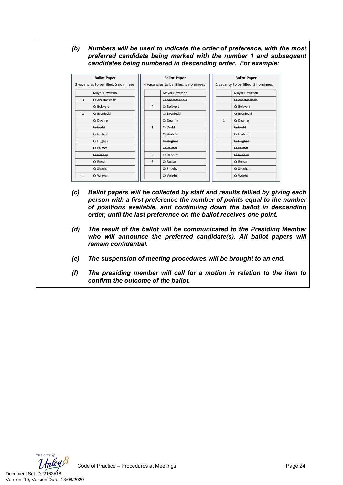*(b) Numbers will be used to indicate the order of preference, with the most preferred candidate being marked with the number 1 and subsequent candidates being numbered in descending order. For example:*

| <b>Ballot Paper</b>                  |                  | <b>Ballot Paper</b>                  |                  |  | <b>Ballot Paper</b>                |  |                  |
|--------------------------------------|------------------|--------------------------------------|------------------|--|------------------------------------|--|------------------|
| 3 vacancies to be filled, 5 nominees |                  | 4 vacancies to be filled, 5 nominees |                  |  | 1 vacancy to be filled, 3 nominees |  |                  |
|                                      | Mayor Hewitson   |                                      | Mayor Hewitson   |  |                                    |  | Mayor Hewitson   |
| 3                                    | Cr Anastassiadis |                                      | Cr Anastassiadis |  |                                    |  | Cr Anastassiadis |
|                                      | Cr Boisvert      | $\overline{4}$                       | Cr Boisvert      |  |                                    |  | Cr Boisvert      |
| $\overline{2}$                       | Cr Broniecki     |                                      | Cr Broniecki     |  |                                    |  | Cr Broniecki     |
|                                      | <b>Cr</b> Dewing |                                      | <b>Cr</b> Dewing |  | $\mathbf{1}$                       |  | Cr Dewing        |
|                                      | Cr Dodd          | $\mathbf{1}$                         | Cr Dodd          |  |                                    |  | Cr Dodd          |
|                                      | Cr Hudson        |                                      | Cr Hudson        |  |                                    |  | Cr Hudson        |
|                                      | Cr Hughes        |                                      | Cr Hughes        |  |                                    |  | Cr Hughes        |
|                                      | Cr Palmer        |                                      | Cr Palmer        |  |                                    |  | Cr Palmer        |
|                                      | Cr Rabbitt       | $\overline{2}$                       | Cr Rabbitt       |  |                                    |  | Cr Rabbitt       |
|                                      | Cr Russe         | 3                                    | Cr Russo         |  |                                    |  | Cr Russo         |
|                                      | Cr Sheehan       |                                      | Cr Sheehan       |  |                                    |  | Cr Sheehan       |
| 1                                    | Cr Wright        |                                      | Cr Wright        |  |                                    |  | <b>Cr Wright</b> |

- *(c) Ballot papers will be collected by staff and results tallied by giving each person with a first preference the number of points equal to the number of positions available, and continuing down the ballot in descending order, until the last preference on the ballot receives one point.*
- *(d) The result of the ballot will be communicated to the Presiding Member*  who will announce the preferred candidate(s). All ballot papers will *remain confidential.*
- *(e) The suspension of meeting procedures will be brought to an end.*
- *(f) The presiding member will call for a motion in relation to the item to confirm the outcome of the ballot.*

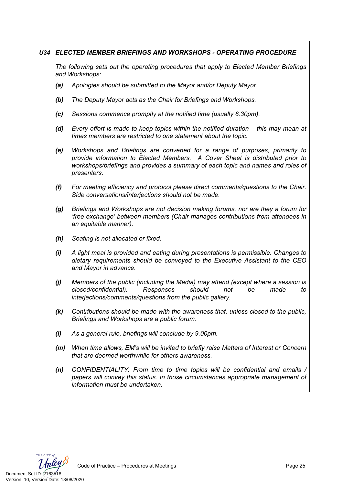|     | <b>U34 ELECTED MEMBER BRIEFINGS AND WORKSHOPS - OPERATING PROCEDURE</b>                                                                                                                                                                                       |
|-----|---------------------------------------------------------------------------------------------------------------------------------------------------------------------------------------------------------------------------------------------------------------|
|     | The following sets out the operating procedures that apply to Elected Member Briefings<br>and Workshops:                                                                                                                                                      |
| (a) | Apologies should be submitted to the Mayor and/or Deputy Mayor.                                                                                                                                                                                               |
| (b) | The Deputy Mayor acts as the Chair for Briefings and Workshops.                                                                                                                                                                                               |
| (c) | Sessions commence promptly at the notified time (usually 6.30pm).                                                                                                                                                                                             |
| (d) | Every effort is made to keep topics within the notified duration $-$ this may mean at<br>times members are restricted to one statement about the topic.                                                                                                       |
| (e) | Workshops and Briefings are convened for a range of purposes, primarily to<br>provide information to Elected Members. A Cover Sheet is distributed prior to<br>workshops/briefings and provides a summary of each topic and names and roles of<br>presenters. |
| (f) | For meeting efficiency and protocol please direct comments/questions to the Chair.<br>Side conversations/interjections should not be made.                                                                                                                    |
| (g) | Briefings and Workshops are not decision making forums, nor are they a forum for<br>'free exchange' between members (Chair manages contributions from attendees in<br>an equitable manner).                                                                   |
| (h) | Seating is not allocated or fixed.                                                                                                                                                                                                                            |
| (i) | A light meal is provided and eating during presentations is permissible. Changes to<br>dietary requirements should be conveyed to the Executive Assistant to the CEO<br>and Mayor in advance.                                                                 |
| (j) | Members of the public (including the Media) may attend (except where a session is<br>closed/confidential).<br>Responses<br>should<br>not<br>be<br>made<br>to<br>interjections/comments/questions from the public gallery.                                     |
| (k) | Contributions should be made with the awareness that, unless closed to the public,<br>Briefings and Workshops are a public forum.                                                                                                                             |
| (1) | As a general rule, briefings will conclude by 9.00pm.                                                                                                                                                                                                         |
| (m) | When time allows, EM's will be invited to briefly raise Matters of Interest or Concern<br>that are deemed worthwhile for others awareness.                                                                                                                    |
| (n) | CONFIDENTIALITY. From time to time topics will be confidential and emails /<br>papers will convey this status. In those circumstances appropriate management of<br>information must be undertaken.                                                            |

<span id="page-28-0"></span> $\sqrt{2}$ 

Code of Practice – Procedures at Meetings Page 25

ヿ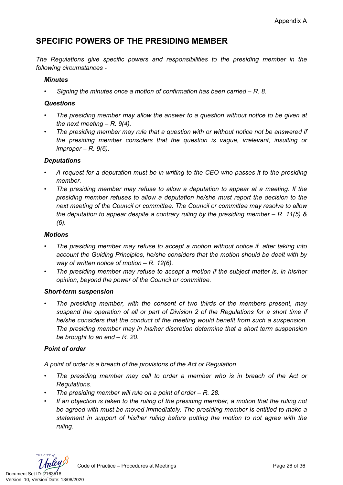# <span id="page-29-0"></span>**SPECIFIC POWERS OF THE PRESIDING MEMBER**

*The Regulations give specific powers and responsibilities to the presiding member in the following circumstances -*

# *Minutes*

• *Signing the minutes once a motion of confirmation has been carried – R. 8.*

# *Questions*

- *The presiding member may allow the answer to a question without notice to be given at the next meeting – R. 9(4).*
- *The presiding member may rule that a question with or without notice not be answered if the presiding member considers that the question is vague, irrelevant, insulting or improper – R. 9(6).*

# *Deputations*

- *A request for a deputation must be in writing to the CEO who passes it to the presiding member.*
- *The presiding member may refuse to allow a deputation to appear at a meeting. If the presiding member refuses to allow a deputation he/she must report the decision to the next meeting of the Council or committee. The Council or committee may resolve to allow the deputation to appear despite a contrary ruling by the presiding member – R. 11(5) & (6).*

# *Motions*

- *The presiding member may refuse to accept a motion without notice if, after taking into account the Guiding Principles, he/she considers that the motion should be dealt with by way of written notice of motion – R. 12(6).*
- *The presiding member may refuse to accept a motion if the subject matter is, in his/her opinion, beyond the power of the Council or committee.*

# *Short-term suspension*

• *The presiding member, with the consent of two thirds of the members present, may suspend the operation of all or part of Division 2 of the Regulations for a short time if he/she considers that the conduct of the meeting would benefit from such a suspension. The presiding member may in his/her discretion determine that a short term suspension be brought to an end – R. 20.*

# *Point of order*

*A point of order is a breach of the provisions of the Act or Regulation.*

- *The presiding member may call to order a member who is in breach of the Act or Regulations.*
- *The presiding member will rule on a point of order R. 28.*
- *If an objection is taken to the ruling of the presiding member, a motion that the ruling not*  be agreed with must be moved immediately. The presiding member is entitled to make a *statement in support of his/her ruling before putting the motion to not agree with the ruling.*

THE CITY of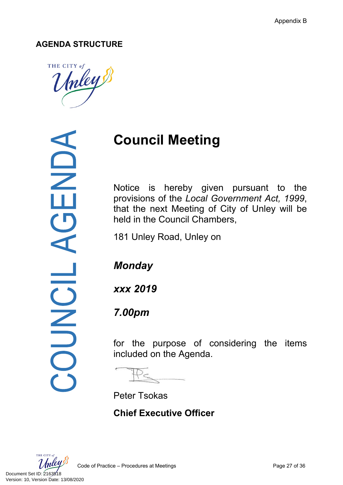# <span id="page-30-0"></span>**AGENDA STRUCTURE**

THE CITY of CITY of

JON DI

# **Council Meeting**

Notice is hereby given pursuant to the provisions of the *Local Government Act, 1999*, that the next Meeting of City of Unley will be held in the Council Chambers,

181 Unley Road, Unley on

# *Monday*

*xxx 2019*

# *7.00pm*

for the purpose of considering the items included on the Agenda.

Peter Tsokas

**Chief Executive Officer**

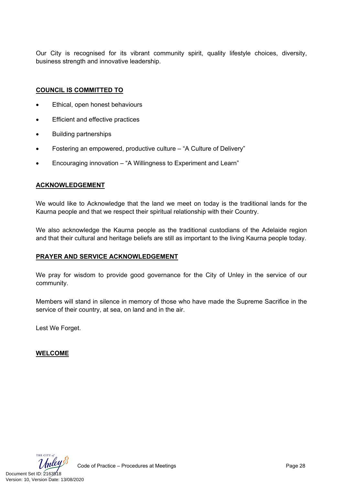Our City is recognised for its vibrant community spirit, quality lifestyle choices, diversity, business strength and innovative leadership.

# **COUNCIL IS COMMITTED TO**

- Ethical, open honest behaviours
- Efficient and effective practices
- Building partnerships
- Fostering an empowered, productive culture "A Culture of Delivery"
- Encouraging innovation "A Willingness to Experiment and Learn"

# **ACKNOWLEDGEMENT**

We would like to Acknowledge that the land we meet on today is the traditional lands for the Kaurna people and that we respect their spiritual relationship with their Country.

We also acknowledge the Kaurna people as the traditional custodians of the Adelaide region and that their cultural and heritage beliefs are still as important to the living Kaurna people today.

# **PRAYER AND SERVICE ACKNOWLEDGEMENT**

We pray for wisdom to provide good governance for the City of Unley in the service of our community.

Members will stand in silence in memory of those who have made the Supreme Sacrifice in the service of their country, at sea, on land and in the air.

Lest We Forget.

# **WELCOME**

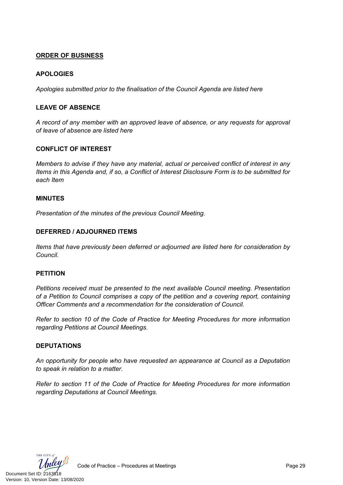# **ORDER OF BUSINESS**

# **APOLOGIES**

*Apologies submitted prior to the finalisation of the Council Agenda are listed here*

# **LEAVE OF ABSENCE**

*A record of any member with an approved leave of absence, or any requests for approval of leave of absence are listed here*

# **CONFLICT OF INTEREST**

*Members to advise if they have any material, actual or perceived conflict of interest in any Items in this Agenda and, if so, a Conflict of Interest Disclosure Form is to be submitted for each Item*

# **MINUTES**

*Presentation of the minutes of the previous Council Meeting.*

# **DEFERRED / ADJOURNED ITEMS**

*Items that have previously been deferred or adjourned are listed here for consideration by Council.*

# **PETITION**

*Petitions received must be presented to the next available Council meeting. Presentation of a Petition to Council comprises a copy of the petition and a covering report, containing Officer Comments and a recommendation for the consideration of Council.*

*Refer to section 10 of the Code of Practice for Meeting Procedures for more information regarding Petitions at Council Meetings.*

# **DEPUTATIONS**

*An opportunity for people who have requested an appearance at Council as a Deputation to speak in relation to a matter.*

*Refer to section 11 of the Code of Practice for Meeting Procedures for more information regarding Deputations at Council Meetings.*

THE CITY.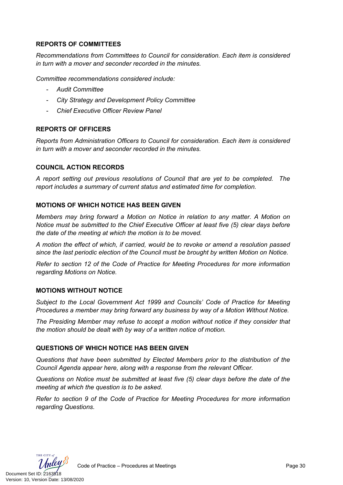# **REPORTS OF COMMITTEES**

*Recommendations from Committees to Council for consideration. Each item is considered in turn with a mover and seconder recorded in the minutes.*

*Committee recommendations considered include:*

- *Audit Committee*
- *City Strategy and Development Policy Committee*
- *Chief Executive Officer Review Panel*

# **REPORTS OF OFFICERS**

*Reports from Administration Officers to Council for consideration. Each item is considered in turn with a mover and seconder recorded in the minutes.*

# **COUNCIL ACTION RECORDS**

*A report setting out previous resolutions of Council that are yet to be completed. The report includes a summary of current status and estimated time for completion.*

# **MOTIONS OF WHICH NOTICE HAS BEEN GIVEN**

*Members may bring forward a Motion on Notice in relation to any matter. A Motion on Notice must be submitted to the Chief Executive Officer at least five (5) clear days before the date of the meeting at which the motion is to be moved.*

*A motion the effect of which, if carried, would be to revoke or amend a resolution passed since the last periodic election of the Council must be brought by written Motion on Notice.*

*Refer to section 12 of the Code of Practice for Meeting Procedures for more information regarding Motions on Notice.*

# **MOTIONS WITHOUT NOTICE**

*Subject to the Local Government Act 1999 and Councils' Code of Practice for Meeting Procedures a member may bring forward any business by way of a Motion Without Notice.*

*The Presiding Member may refuse to accept a motion without notice if they consider that the motion should be dealt with by way of a written notice of motion.*

# **QUESTIONS OF WHICH NOTICE HAS BEEN GIVEN**

*Questions that have been submitted by Elected Members prior to the distribution of the Council Agenda appear here, along with a response from the relevant Officer.*

*Questions on Notice must be submitted at least five (5) clear days before the date of the meeting at which the question is to be asked.*

*Refer to section 9 of the Code of Practice for Meeting Procedures for more information regarding Questions.*

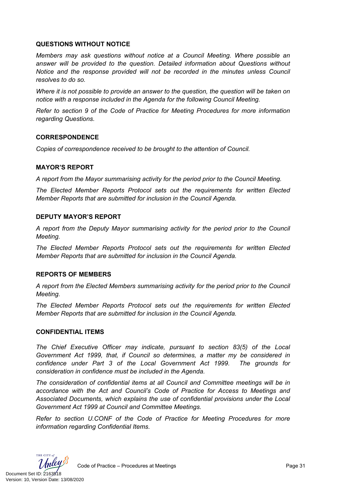# **QUESTIONS WITHOUT NOTICE**

*Members may ask questions without notice at a Council Meeting. Where possible an answer will be provided to the question. Detailed information about Questions without Notice and the response provided will not be recorded in the minutes unless Council resolves to do so.*

*Where it is not possible to provide an answer to the question, the question will be taken on notice with a response included in the Agenda for the following Council Meeting.*

*Refer to section 9 of the Code of Practice for Meeting Procedures for more information regarding Questions.*

#### **CORRESPONDENCE**

*Copies of correspondence received to be brought to the attention of Council.*

#### **MAYOR'S REPORT**

*A report from the Mayor summarising activity for the period prior to the Council Meeting.*

*The Elected Member Reports Protocol sets out the requirements for written Elected Member Reports that are submitted for inclusion in the Council Agenda.*

#### **DEPUTY MAYOR'S REPORT**

*A report from the Deputy Mayor summarising activity for the period prior to the Council Meeting.*

*The Elected Member Reports Protocol sets out the requirements for written Elected Member Reports that are submitted for inclusion in the Council Agenda.*

#### **REPORTS OF MEMBERS**

*A report from the Elected Members summarising activity for the period prior to the Council Meeting.*

*The Elected Member Reports Protocol sets out the requirements for written Elected Member Reports that are submitted for inclusion in the Council Agenda.*

#### **CONFIDENTIAL ITEMS**

*The Chief Executive Officer may indicate, pursuant to section 83(5) of the Local Government Act 1999, that, if Council so determines, a matter my be considered in confidence under Part 3 of the Local Government Act 1999. The grounds for consideration in confidence must be included in the Agenda.*

*The consideration of confidential items at all Council and Committee meetings will be in accordance with the Act and Council's Code of Practice for Access to Meetings and Associated Documents, which explains the use of confidential provisions under the Local Government Act 1999 at Council and Committee Meetings.*

*Refer to section U.CONF of the Code of Practice for Meeting Procedures for more information regarding Confidential Items.*

THE CITY of